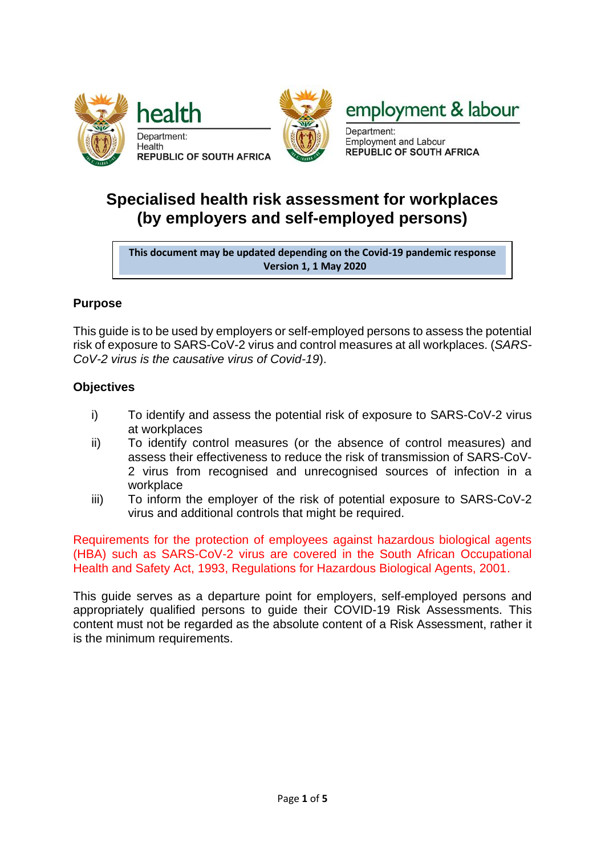



employment & labour

Department: **Employment and Labour REPUBLIC OF SOUTH AFRICA** 

# **Specialised health risk assessment for workplaces (by employers and self-employed persons)**

**This document may be updated depending on the Covid-19 pandemic response Version 1, 1 May 2020**

## **Purpose**

This guide is to be used by employers or self-employed persons to assess the potential risk of exposure to SARS-CoV-2 virus and control measures at all workplaces. (*SARS-CoV-2 virus is the causative virus of Covid-19*).

## **Objectives**

- i) To identify and assess the potential risk of exposure to SARS-CoV-2 virus at workplaces
- ii) To identify control measures (or the absence of control measures) and assess their effectiveness to reduce the risk of transmission of SARS-CoV-2 virus from recognised and unrecognised sources of infection in a workplace
- iii) To inform the employer of the risk of potential exposure to SARS-CoV-2 virus and additional controls that might be required.

Requirements for the protection of employees against hazardous biological agents (HBA) such as SARS-CoV-2 virus are covered in the South African Occupational Health and Safety Act, 1993, Regulations for Hazardous Biological Agents, 2001.

This guide serves as a departure point for employers, self-employed persons and appropriately qualified persons to guide their COVID-19 Risk Assessments. This content must not be regarded as the absolute content of a Risk Assessment, rather it is the minimum requirements.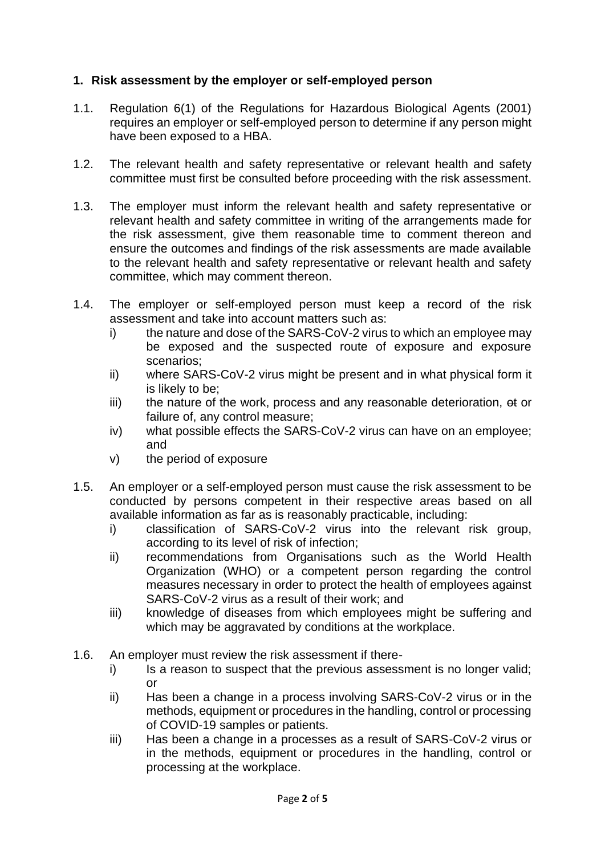## **1. Risk assessment by the employer or self-employed person**

- 1.1. Regulation 6(1) of the Regulations for Hazardous Biological Agents (2001) requires an employer or self-employed person to determine if any person might have been exposed to a HBA.
- 1.2. The relevant health and safety representative or relevant health and safety committee must first be consulted before proceeding with the risk assessment.
- 1.3. The employer must inform the relevant health and safety representative or relevant health and safety committee in writing of the arrangements made for the risk assessment, give them reasonable time to comment thereon and ensure the outcomes and findings of the risk assessments are made available to the relevant health and safety representative or relevant health and safety committee, which may comment thereon.
- 1.4. The employer or self-employed person must keep a record of the risk assessment and take into account matters such as:
	- i) the nature and dose of the SARS-CoV-2 virus to which an employee may be exposed and the suspected route of exposure and exposure scenarios;
	- ii) where SARS-CoV-2 virus might be present and in what physical form it is likely to be;
	- iii) the nature of the work, process and any reasonable deterioration, et or failure of, any control measure;
	- iv) what possible effects the SARS-CoV-2 virus can have on an employee; and
	- v) the period of exposure
- 1.5. An employer or a self-employed person must cause the risk assessment to be conducted by persons competent in their respective areas based on all available information as far as is reasonably practicable, including:
	- i) classification of SARS-CoV-2 virus into the relevant risk group, according to its level of risk of infection;
	- ii) recommendations from Organisations such as the World Health Organization (WHO) or a competent person regarding the control measures necessary in order to protect the health of employees against SARS-CoV-2 virus as a result of their work; and
	- iii) knowledge of diseases from which employees might be suffering and which may be aggravated by conditions at the workplace.
- 1.6. An employer must review the risk assessment if there
	- i) Is a reason to suspect that the previous assessment is no longer valid; or
	- ii) Has been a change in a process involving SARS-CoV-2 virus or in the methods, equipment or procedures in the handling, control or processing of COVID-19 samples or patients.
	- iii) Has been a change in a processes as a result of SARS-CoV-2 virus or in the methods, equipment or procedures in the handling, control or processing at the workplace.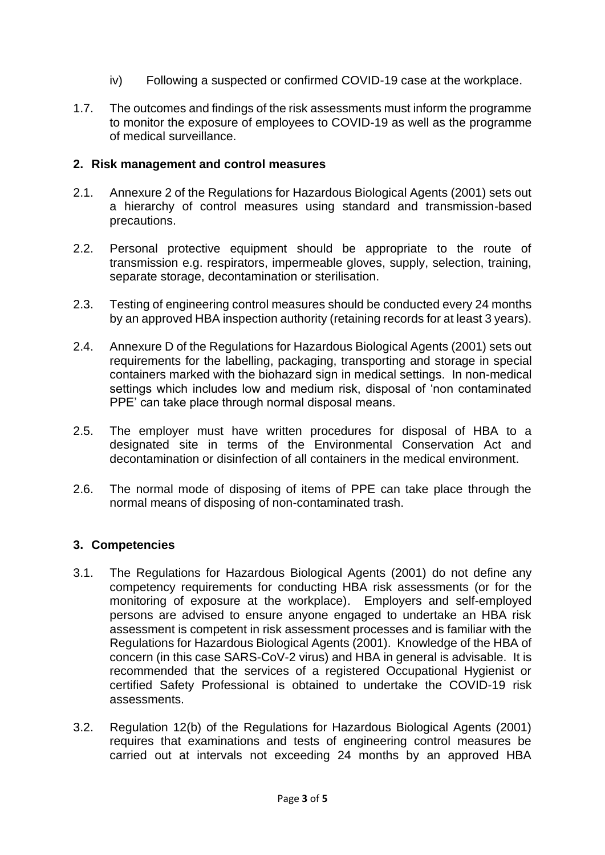- iv) Following a suspected or confirmed COVID-19 case at the workplace.
- 1.7. The outcomes and findings of the risk assessments must inform the programme to monitor the exposure of employees to COVID-19 as well as the programme of medical surveillance.

#### **2. Risk management and control measures**

- 2.1. Annexure 2 of the Regulations for Hazardous Biological Agents (2001) sets out a hierarchy of control measures using standard and transmission-based precautions.
- 2.2. Personal protective equipment should be appropriate to the route of transmission e.g. respirators, impermeable gloves, supply, selection, training, separate storage, decontamination or sterilisation.
- 2.3. Testing of engineering control measures should be conducted every 24 months by an approved HBA inspection authority (retaining records for at least 3 years).
- 2.4. Annexure D of the Regulations for Hazardous Biological Agents (2001) sets out requirements for the labelling, packaging, transporting and storage in special containers marked with the biohazard sign in medical settings. In non-medical settings which includes low and medium risk, disposal of 'non contaminated PPE' can take place through normal disposal means.
- 2.5. The employer must have written procedures for disposal of HBA to a designated site in terms of the Environmental Conservation Act and decontamination or disinfection of all containers in the medical environment.
- 2.6. The normal mode of disposing of items of PPE can take place through the normal means of disposing of non-contaminated trash.

#### **3. Competencies**

- 3.1. The Regulations for Hazardous Biological Agents (2001) do not define any competency requirements for conducting HBA risk assessments (or for the monitoring of exposure at the workplace). Employers and self-employed persons are advised to ensure anyone engaged to undertake an HBA risk assessment is competent in risk assessment processes and is familiar with the Regulations for Hazardous Biological Agents (2001). Knowledge of the HBA of concern (in this case SARS-CoV-2 virus) and HBA in general is advisable. It is recommended that the services of a registered Occupational Hygienist or certified Safety Professional is obtained to undertake the COVID-19 risk assessments.
- 3.2. Regulation 12(b) of the Regulations for Hazardous Biological Agents (2001) requires that examinations and tests of engineering control measures be carried out at intervals not exceeding 24 months by an approved HBA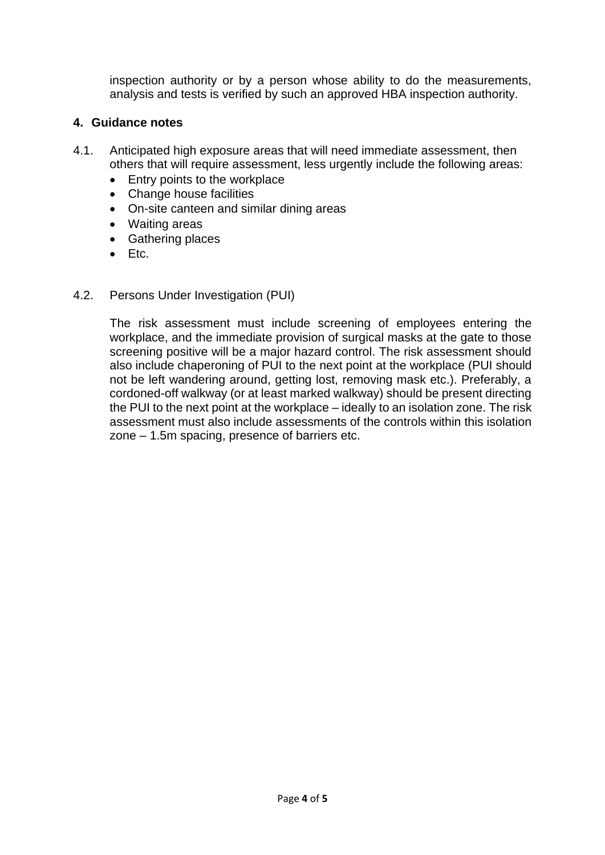inspection authority or by a person whose ability to do the measurements, analysis and tests is verified by such an approved HBA inspection authority.

### **4. Guidance notes**

- 4.1. Anticipated high exposure areas that will need immediate assessment, then others that will require assessment, less urgently include the following areas:
	- Entry points to the workplace
	- Change house facilities
	- On-site canteen and similar dining areas
	- Waiting areas
	- Gathering places
	- Etc.

#### 4.2. Persons Under Investigation (PUI)

The risk assessment must include screening of employees entering the workplace, and the immediate provision of surgical masks at the gate to those screening positive will be a major hazard control. The risk assessment should also include chaperoning of PUI to the next point at the workplace (PUI should not be left wandering around, getting lost, removing mask etc.). Preferably, a cordoned-off walkway (or at least marked walkway) should be present directing the PUI to the next point at the workplace – ideally to an isolation zone. The risk assessment must also include assessments of the controls within this isolation zone – 1.5m spacing, presence of barriers etc.